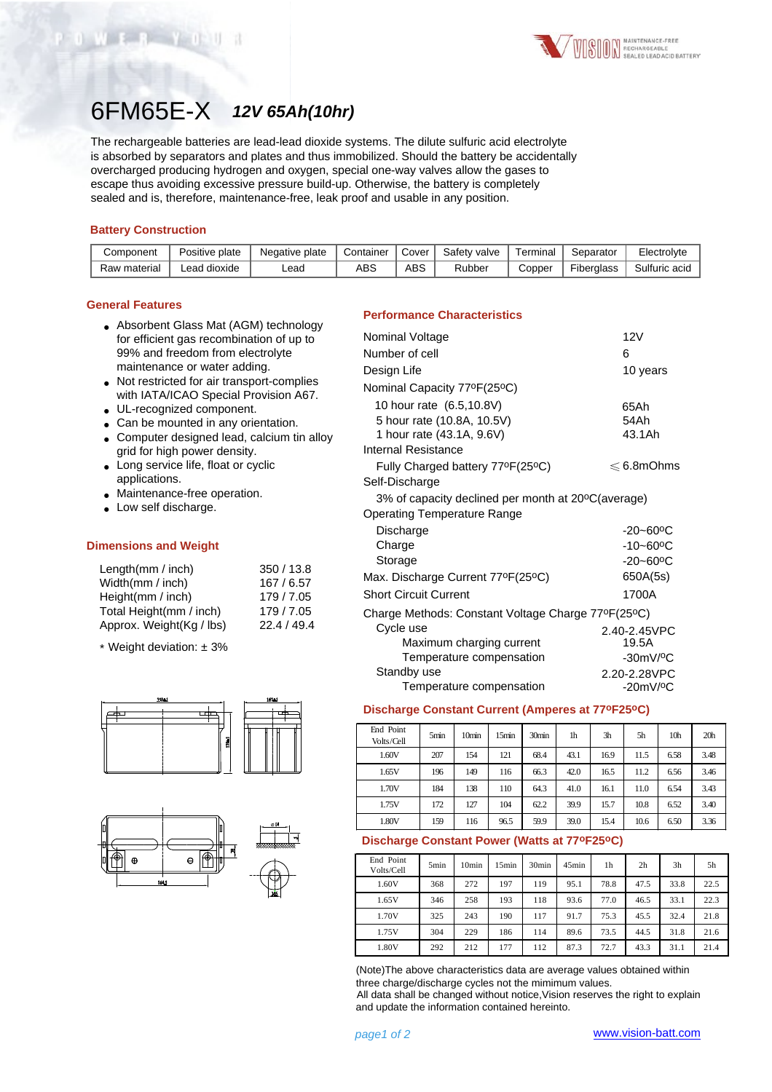

# 6FM65E-X *12V 65Ah(10hr)*

The rechargeable batteries are lead-lead dioxide systems. The dilute sulfuric acid electrolyte is absorbed by separators and plates and thus immobilized. Should the battery be accidentally overcharged producing hydrogen and oxygen, special one-way valves allow the gases to escape thus avoiding excessive pressure build-up. Otherwise, the battery is completely sealed and is, therefore, maintenance-free, leak proof and usable in any position.

## **Battery Construction**

WER YO

| Component    | Positive plate | Negative plate | Container | Cover | Safety valve | Γerminal | Separator  | Electrolyte   |
|--------------|----------------|----------------|-----------|-------|--------------|----------|------------|---------------|
| Raw material | Lead dioxide   | -ead           | ABS       | ABS   | Rubber       | Copper   | Fiberglass | Sulfuric acid |

## **General Features**

- Absorbent Glass Mat (AGM) technology for efficient gas recombination of up to 99% and freedom from electrolyte maintenance or water adding.
- Not restricted for air transport-complies with IATA/ICAO Special Provision A67.
- UL-recognized component.
- Can be mounted in any orientation.
- Computer designed lead, calcium tin alloy grid for high power density.
- Long service life, float or cyclic applications.
- Maintenance-free operation.
- Low self discharge.

#### **Dimensions and Weight**

| Length(mm / inch)        | 350/13.8    |
|--------------------------|-------------|
| Width(mm / inch)         | 167/6.57    |
| Height(mm / inch)        | 179/7.05    |
| Total Height(mm / inch)  | 179/7.05    |
| Approx. Weight(Kg / lbs) | 22.4 / 49.4 |
|                          |             |

\* Weight deviation: ± 3%





## **Performance Characteristics**

| Nominal Voltage                                    | 12V                       |
|----------------------------------------------------|---------------------------|
| Number of cell                                     | 6                         |
| Design Life                                        | 10 years                  |
| Nominal Capacity 77ºF(25°C)                        |                           |
| 10 hour rate (6.5,10.8V)                           | 65Ah                      |
| 5 hour rate (10.8A, 10.5V)                         | 54Ah                      |
| 1 hour rate (43.1A, 9.6V)                          | 43.1Ah                    |
| Internal Resistance                                |                           |
| Fully Charged battery 77°F(25°C)                   | $\leqslant$ 6.8mOhms      |
| Self-Discharge                                     |                           |
| 3% of capacity declined per month at 20°C(average) |                           |
| <b>Operating Temperature Range</b>                 |                           |
| Discharge                                          | $-20 - 60$ <sup>o</sup> C |
| Charge                                             | $-10 - 60$ <sup>o</sup> C |
| Storage                                            | $-20 - 60$ <sup>o</sup> C |
| Max. Discharge Current 77°F(25°C)                  | 650A(5s)                  |
| <b>Short Circuit Current</b>                       | 1700A                     |
| Charge Methods: Constant Voltage Charge 77°F(25°C) |                           |
| Cycle use                                          | 2.40-2.45VPC              |
| Maximum charging current                           | 19.5A                     |
| Temperature compensation                           | $-30mV/°C$                |
| Standby use                                        | 2.20-2.28VPC              |
| Temperature compensation                           | $-20mV/°C$                |

#### **Discharge Constant Current (Amperes at 77oF25oC)**

| End Point<br>Volts/Cell | 5min | 10 <sub>min</sub> | 15min | 30min | 1h   | 3 <sub>h</sub> | 5h   | 10 <sub>h</sub> | 20 <sub>h</sub> |
|-------------------------|------|-------------------|-------|-------|------|----------------|------|-----------------|-----------------|
| 1.60V                   | 207  | 154               | 121   | 68.4  | 43.1 | 16.9           | 11.5 | 6.58            | 3.48            |
| 1.65V                   | 196  | 149               | 116   | 66.3  | 42.0 | 16.5           | 11.2 | 6.56            | 3.46            |
| 1.70V                   | 184  | 138               | 110   | 64.3  | 41.0 | 16.1           | 11.0 | 6.54            | 3.43            |
| 1.75V                   | 172  | 127               | 104   | 62.2  | 39.9 | 15.7           | 10.8 | 6.52            | 3.40            |
| 1.80V                   | 159  | 116               | 96.5  | 59.9  | 39.0 | 15.4           | 10.6 | 6.50            | 3.36            |

#### **Discharge Constant Power (Watts at 77oF25oC)**

| End Point<br>Volts/Cell | 5 <sub>min</sub> | 10 <sub>min</sub> | 15 <sub>min</sub> | 30 <sub>min</sub> | 45min | 1h   | 2 <sub>h</sub> | 3h   | 5h   |
|-------------------------|------------------|-------------------|-------------------|-------------------|-------|------|----------------|------|------|
| 1.60V                   | 368              | 272               | 197               | 119               | 95.1  | 78.8 | 47.5           | 33.8 | 22.5 |
| 1.65V                   | 346              | 258               | 193               | 118               | 93.6  | 77.0 | 46.5           | 33.1 | 22.3 |
| 1.70V                   | 325              | 243               | 190               | 117               | 91.7  | 75.3 | 45.5           | 32.4 | 21.8 |
| 1.75V                   | 304              | 229               | 186               | 114               | 89.6  | 73.5 | 44.5           | 31.8 | 21.6 |
| 1.80V                   | 292              | 212               | 177               | 112               | 87.3  | 72.7 | 43.3           | 31.1 | 21.4 |

(Note)The above characteristics data are average values obtained within three charge/discharge cycles not the mimimum values.

All data shall be changed without notice,Vision reserves the right to explain and update the information contained hereinto.